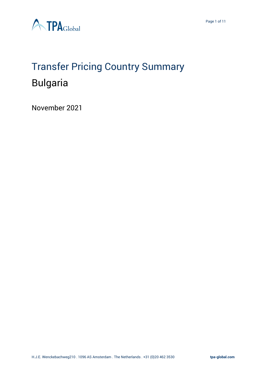

# Transfer Pricing Country Summary Bulgaria

November 2021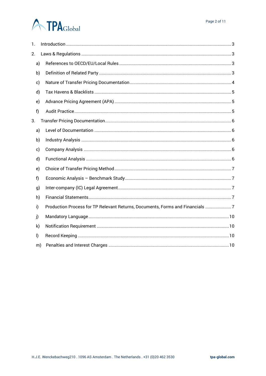# **A TPA**Global

| 1.      |                                                                               |  |
|---------|-------------------------------------------------------------------------------|--|
| 2.      |                                                                               |  |
| a)      |                                                                               |  |
| b)      |                                                                               |  |
| c)      |                                                                               |  |
| d)      |                                                                               |  |
| e)      |                                                                               |  |
| f)      |                                                                               |  |
| 3.      |                                                                               |  |
| a)      |                                                                               |  |
| b)      |                                                                               |  |
| c)      |                                                                               |  |
| d)      |                                                                               |  |
| e)      |                                                                               |  |
| f)      |                                                                               |  |
| g)      |                                                                               |  |
| h)      |                                                                               |  |
| i)      | Production Process for TP Relevant Returns, Documents, Forms and Financials 7 |  |
| j)      |                                                                               |  |
| k)      |                                                                               |  |
| $\vert$ |                                                                               |  |
| m)      |                                                                               |  |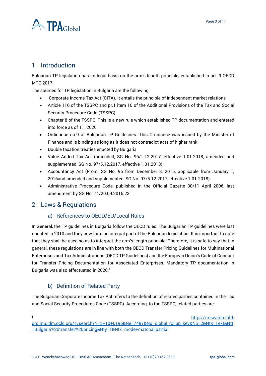

# <span id="page-2-0"></span>1. Introduction

Bulgarian TP legislation has its legal basis on the arm's length principle, established in art. 9 OECD MTC 2017.

The sources for TP legislation in Bulgaria are the following:

- Corporate Income Tax Act (CITA). It entails the principle of independent market relations
- Article 116 of the TSSPC and pr.1 item 10 of the Additional Provisions of the Tax and Social Security Procedure Code (TSSPC)
- Chapter 8 of the TSSPC. This is a new rule which established TP documentation and entered into force as of 1.1.2020
- Ordinance no.9 of Bulgarian TP Guidelines. This Ordinance was issued by the Minister of Finance and is binding as long as it does not contradict acts of higher rank.
- Double taxation treaties enacted by Bulgaria
- Value Added Tax Act (amended, SG No. 96/1.12.2017, effective 1.01.2018, amended and supplemented, SG No. 97/5.12.2017, effective 1.01.2018)
- Accountancy Act (Prom. SG No. 95 from December 8, 2015, applicable from January 1, 2016and amended and supplemented, SG No. 97/5.12.2017, effective 1.01.2018).
- Administrative Procedure Code, published in the Official Gazette 30/11 April 2006, last amendment by SG No. 74/20.09.2016.23

# <span id="page-2-2"></span><span id="page-2-1"></span>2. Laws & Regulations

#### a) References to OECD/EU/Local Rules

In General, the TP guidelines in Bulgaria follow the OECD rules. The Bulgarian TP guidelines were last updated in 2010 and they now form an integral part of the Bulgarian legislation. It is important to note that they shall be used so as to interpret the arm's length principle. Therefore, it is safe to say that in general, these regulations are in line with both the OECD Transfer Pricing Guidelines for Multinational Enterprises and Tax Administrations (OECD TP Guidelines) and the European Union's Code of Conduct for Transfer Pricing Documentation for Associated Enterprises. Mandatory TP documentation in Bulgaria was also effectuated in 2020.<sup>1</sup>

#### b) Definition of Related Party

<span id="page-2-3"></span>The Bulgarian Corporate Income Tax Act refers to the definition of related parties contained in the Tax and Social Security Procedures Code (TSSPC). According, to the TSSPC, related parties are:

<sup>1</sup> [https://research-ibfd-](https://research-ibfd-org.mu.idm.oclc.org/#/search?N=3+10+6196&Ne=7487&Nu=global_rollup_key&Np=2&Ntk=Text&Ntt=Bulgaria%20transfer%20pricing&Nty=1&Ntx=mode+matchallpartial)

[org.mu.idm.oclc.org/#/search?N=3+10+6196&Ne=7487&Nu=global\\_rollup\\_key&Np=2&Ntk=Text&Ntt](https://research-ibfd-org.mu.idm.oclc.org/#/search?N=3+10+6196&Ne=7487&Nu=global_rollup_key&Np=2&Ntk=Text&Ntt=Bulgaria%20transfer%20pricing&Nty=1&Ntx=mode+matchallpartial) [=Bulgaria%20transfer%20pricing&Nty=1&Ntx=mode+matchallpartial](https://research-ibfd-org.mu.idm.oclc.org/#/search?N=3+10+6196&Ne=7487&Nu=global_rollup_key&Np=2&Ntk=Text&Ntt=Bulgaria%20transfer%20pricing&Nty=1&Ntx=mode+matchallpartial)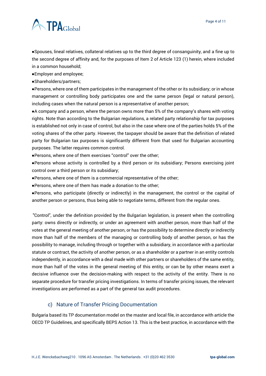

●Spouses, lineal relatives, collateral relatives up to the third degree of consanguinity, and a fine up to the second degree of affinity and, for the purposes of Item 2 of Article 123 (1) herein, where included in a common household;

●Employer and employee;

●Shareholders/partners;

●Persons, where one of them participates in the management of the other or its subsidiary; or in whose management or controlling body participates one and the same person (legal or natural person), including cases when the natural person is a representative of another person;

●A company and a person, where the person owns more than 5% of the company's shares with voting rights. Note than according to the Bulgarian regulations, a related party relationship for tax purposes is established not only in case of control, but also in the case where one of the parties holds 5% of the voting shares of the other party. However, the taxpayer should be aware that the definition of related party for Bulgarian tax purposes is significantly different from that used for Bulgarian accounting purposes. The latter requires common control.

●Persons, where one of them exercises "control" over the other;

●Persons whose activity is controlled by a third person or its subsidiary; Persons exercising joint control over a third person or its subsidiary;

●Persons, where one of them is a commercial representative of the other;

●Persons, where one of them has made a donation to the other;

●Persons, who participate (directly or indirectly) in the management, the control or the capital of another person or persons, thus being able to negotiate terms, different from the regular ones.

"Control", under the definition provided by the Bulgarian legislation, is present when the controlling party: owns directly or indirectly, or under an agreement with another person, more than half of the votes at the general meeting of another person, or has the possibility to determine directly or indirectly more than half of the members of the managing or controlling body of another person, or has the possibility to manage, including through or together with a subsidiary, in accordance with a particular statute or contract, the activity of another person, or as a shareholder or a partner in an entity controls independently, in accordance with a deal made with other partners or shareholders of the same entity, more than half of the votes in the general meeting of this entity, or can be by other means exert a decisive influence over the decision-making with respect to the activity of the entity. There is no separate procedure for transfer pricing investigations. In terms of transfer pricing issues, the relevant investigations are performed as a part of the general tax audit procedures.

#### c) Nature of Transfer Pricing Documentation

<span id="page-3-0"></span>Bulgaria based its TP documentation model on the master and local file, in accordance with article the OECD TP Guidelines, and specifically BEPS Action 13. This is the best practice, in accordance with the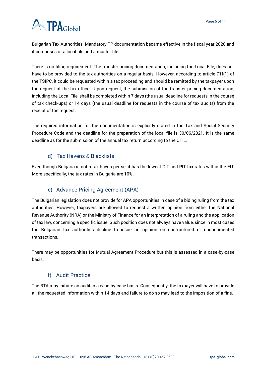# **A TPA**Global

Bulgarian Tax Authorities. Mandatory TP documentation became effective in the fiscal year 2020 and it comprises of a local file and a master file.

There is no filing requirement. The transfer pricing documentation, including the Local File, does not have to be provided to the tax authorities on a regular basis. However, according to article 71f(1) of the TSIPC, it could be requested within a tax proceeding and should be remitted by the taxpayer upon the request of the tax officer. Upon request, the submission of the transfer pricing documentation, including the Local File, shall be completed within 7 days (the usual deadline for requests in the course of tax check-ups) or 14 days (the usual deadline for requests in the course of tax audits) from the receipt of the request.

The required information for the documentation is explicitly stated in the Tax and Social Security Procedure Code and the deadline for the preparation of the local file is 30/06/2021. It is the same deadline as for the submission of the annual tax return according to the CITL.

# d) Tax Havens & Blacklists

<span id="page-4-0"></span>Even though Bulgaria is not a tax haven per se, it has the lowest CIT and PIT tax rates within the EU. More specifically, the tax rates in Bulgaria are 10%.

# e) Advance Pricing Agreement (APA)

<span id="page-4-1"></span>The Bulgarian legislation does not provide for APA opportunities in case of a biding ruling from the tax authorities. However, taxpayers are allowed to request a written opinion from either the National Revenue Authority (NRA) or the Ministry of Finance for an interpretation of a ruling and the application of tax law, concerning a specific issue. Such position does not always have value, since in most cases the Bulgarian tax authorities decline to issue an opinion on unstructured or undocumented transactions.

There may be opportunities for Mutual Agreement Procedure but this is assessed in a case-by-case basis.

#### f) Audit Practice

<span id="page-4-2"></span>The BTA may initiate an audit in a case-by-case basis. Consequently, the taxpayer will have to provide all the requested information within 14 days and failure to do so may lead to the imposition of a fine.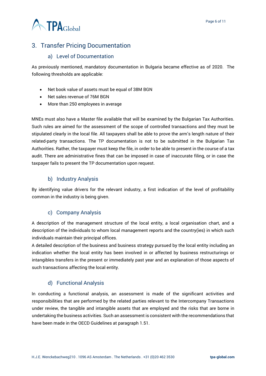

# <span id="page-5-0"></span>3. Transfer Pricing Documentation

#### a) Level of Documentation

<span id="page-5-1"></span>As previously mentioned, mandatory documentation in Bulgaria became effective as of 2020. The following thresholds are applicable:

- Net book value of assets must be equal of 38M BGN
- Net sales revenue of 76M BGN
- More than 250 employees in average

MNEs must also have a Master file available that will be examined by the Bulgarian Tax Authorities. Such rules are aimed for the assessment of the scope of controlled transactions and they must be stipulated clearly in the local file. All taxpayers shall be able to prove the arm's length nature of their related-party transactions. The TP documentation is not to be submitted in the Bulgarian Tax Authorities. Rather, the taxpayer must keep the file, in order to be able to present in the course of a tax audit. There are administrative fines that can be imposed in case of inaccurate filing, or in case the taxpayer fails to present the TP documentation upon request.

#### b) Industry Analysis

<span id="page-5-2"></span>By identifying value drivers for the relevant industry, a first indication of the level of profitability common in the industry is being given.

#### c) Company Analysis

<span id="page-5-3"></span>A description of the management structure of the local entity, a local organisation chart, and a description of the individuals to whom local management reports and the country(ies) in which such individuals maintain their principal offices.

A detailed description of the business and business strategy pursued by the local entity including an indication whether the local entity has been involved in or affected by business restructurings or intangibles transfers in the present or immediately past year and an explanation of those aspects of such transactions affecting the local entity.

#### d) Functional Analysis

<span id="page-5-4"></span>In conducting a functional analysis, an assessment is made of the significant activities and responsibilities that are performed by the related parties relevant to the Intercompany Transactions under review, the tangible and intangible assets that are employed and the risks that are borne in undertaking the business activities. Such an assessment is consistent with the recommendations that have been made in the OECD Guidelines at paragraph 1.51.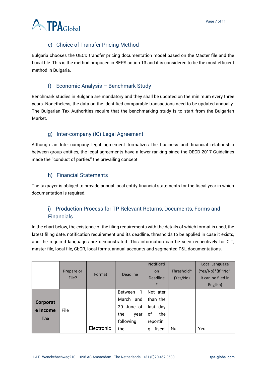

# e) Choice of Transfer Pricing Method

<span id="page-6-0"></span>Bulgaria chooses the OECD transfer pricing documentation model based on the Master file and the Local file. This is the method proposed in BEPS action 13 and it is considered to be the most efficient method in Bulgaria.

#### f) Economic Analysis – Benchmark Study

<span id="page-6-1"></span>Benchmark studies in Bulgaria are mandatory and they shall be updated on the minimum every three years. Nonetheless, the data on the identified comparable transactions need to be updated annually. The Bulgarian Tax Authorities require that the benchmarking study is to start from the Bulgarian Market.

# g) Inter-company (IC) Legal Agreement

<span id="page-6-2"></span>Although an Inter-company legal agreement formalizes the business and financial relationship between group entities, the legal agreements have a lower ranking since the OECD 2017 Guidelines made the ''conduct of parties'' the prevailing concept.

# h) Financial Statements

<span id="page-6-3"></span>The taxpayer is obliged to provide annual local entity financial statements for the fiscal year in which documentation is required.

# <span id="page-6-4"></span>i) Production Process for TP Relevant Returns, Documents, Forms and Financials

In the chart below, the existence of the filing requirements with the details of which format is used, the latest filing date, notification requirement and its deadline, thresholds to be applied in case it exists, and the required languages are demonstrated. This information can be seen respectively for CIT, master file, local file, CbCR, local forms, annual accounts and segmented P&L documentations.

|          | Prepare or<br>File? | Format     | Deadline            | Notificati<br><b>on</b><br><b>Deadline</b><br>$\ast$ | Threshold*<br>(Yes/No) | Local Language<br>(Yes/No)*(If "No",<br>it can be filed in<br>English) |
|----------|---------------------|------------|---------------------|------------------------------------------------------|------------------------|------------------------------------------------------------------------|
|          |                     |            | 1<br><b>Between</b> | Not later                                            |                        |                                                                        |
| Corporat |                     |            | March<br>and        | than the                                             |                        |                                                                        |
| e Income | File                |            | 30 June of          | last day                                             |                        |                                                                        |
|          |                     |            | the<br>year         | οf<br>the                                            |                        |                                                                        |
| Tax      |                     |            | following           | reportin                                             |                        |                                                                        |
|          |                     | Electronic | the                 | fiscal<br>q                                          | No                     | Yes                                                                    |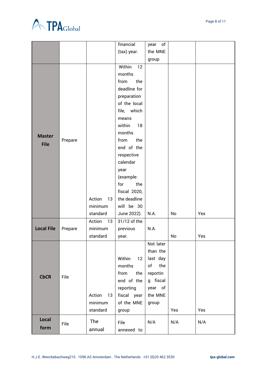

|                   |         |              | financial      | of<br>year |     |     |
|-------------------|---------|--------------|----------------|------------|-----|-----|
|                   |         |              | (tax) year.    | the MNE    |     |     |
|                   |         |              |                | group      |     |     |
|                   |         |              | Within<br>12   |            |     |     |
|                   |         |              | months         |            |     |     |
|                   |         |              | the<br>from    |            |     |     |
|                   |         |              | deadline for   |            |     |     |
|                   |         |              | preparation    |            |     |     |
|                   |         |              | of the local   |            |     |     |
|                   |         |              | which<br>file, |            |     |     |
|                   |         |              | means          |            |     |     |
|                   |         |              | 18<br>within   |            |     |     |
| <b>Master</b>     |         |              | months         |            |     |     |
| <b>File</b>       | Prepare |              | the<br>from    |            |     |     |
|                   |         |              | end of the     |            |     |     |
|                   |         |              | respective     |            |     |     |
|                   |         |              | calendar       |            |     |     |
|                   |         |              | year           |            |     |     |
|                   |         |              | (example:      |            |     |     |
|                   |         |              | the<br>for     |            |     |     |
|                   |         |              | fiscal 2020,   |            |     |     |
|                   |         | Action<br>13 | the deadline   |            |     |     |
|                   |         | minimum      | will be 30     |            |     |     |
|                   |         | standard     | June 2022).    | N.A.       | No  | Yes |
|                   |         | Action<br>13 | 31/12 of the   |            |     |     |
| <b>Local File</b> | Prepare | minimum      | previous       | N.A.       |     |     |
|                   |         | standard     | year.          |            | No  | Yes |
|                   |         |              |                | Not later  |     |     |
|                   | File    |              |                | than the   |     |     |
|                   |         |              | Within<br>12   | last day   |     |     |
|                   |         |              | months         | of<br>the  |     |     |
| <b>CbCR</b>       |         |              | from<br>the    | reportin   |     |     |
|                   |         |              | end of the     | g fiscal   |     |     |
|                   |         |              | reporting      | year of    |     |     |
|                   |         | Action<br>13 | fiscal year    | the MNE    |     |     |
|                   |         | minimum      | of the MNE     | group      |     |     |
|                   |         | standard     | group          |            | Yes | Yes |
| Local             |         | The          | File           | N/A        | N/A | N/A |
| form              | File    | annual       | annexed to     |            |     |     |
|                   |         |              |                |            |     |     |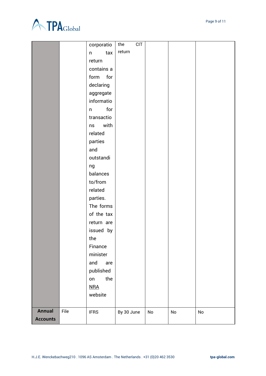

|                 |      | corporatio  | <b>CIT</b><br>the |    |    |    |
|-----------------|------|-------------|-------------------|----|----|----|
|                 |      | tax<br>n    | return            |    |    |    |
|                 |      | return      |                   |    |    |    |
|                 |      | contains a  |                   |    |    |    |
|                 |      | form for    |                   |    |    |    |
|                 |      | declaring   |                   |    |    |    |
|                 |      | aggregate   |                   |    |    |    |
|                 |      | informatio  |                   |    |    |    |
|                 |      | for<br>n    |                   |    |    |    |
|                 |      | transactio  |                   |    |    |    |
|                 |      | with<br>ns  |                   |    |    |    |
|                 |      | related     |                   |    |    |    |
|                 |      | parties     |                   |    |    |    |
|                 |      | and         |                   |    |    |    |
|                 |      | outstandi   |                   |    |    |    |
|                 |      | ng          |                   |    |    |    |
|                 |      | balances    |                   |    |    |    |
|                 |      | to/from     |                   |    |    |    |
|                 |      | related     |                   |    |    |    |
|                 |      | parties.    |                   |    |    |    |
|                 |      | The forms   |                   |    |    |    |
|                 |      | of the tax  |                   |    |    |    |
|                 |      | return are  |                   |    |    |    |
|                 |      | issued by   |                   |    |    |    |
|                 |      | the         |                   |    |    |    |
|                 |      | Finance     |                   |    |    |    |
|                 |      | minister    |                   |    |    |    |
|                 |      | and<br>are  |                   |    |    |    |
|                 |      | published   |                   |    |    |    |
|                 |      | the<br>on   |                   |    |    |    |
|                 |      | NRA         |                   |    |    |    |
|                 |      | website     |                   |    |    |    |
|                 |      |             |                   |    |    |    |
| <b>Annual</b>   | File | <b>IFRS</b> | By 30 June        | No | No | No |
| <b>Accounts</b> |      |             |                   |    |    |    |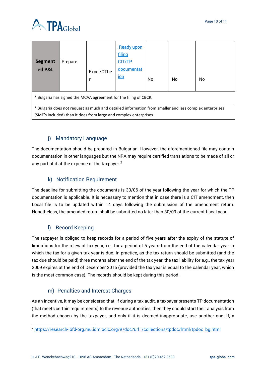



| <b>Segment</b><br>ed P&L                                                                                                                                                    | Prepare | Excel/OThe | Ready upon<br>filing<br>CIT/TP<br>documentat<br>ion | No. | No | No |  |
|-----------------------------------------------------------------------------------------------------------------------------------------------------------------------------|---------|------------|-----------------------------------------------------|-----|----|----|--|
| * Bulgaria has signed the MCAA agreement for the filing of CBCR.                                                                                                            |         |            |                                                     |     |    |    |  |
| * Bulgaria does not request as much and detailed information from smaller and less complex enterprises<br>(SME's included) than it does from large and complex enterprises. |         |            |                                                     |     |    |    |  |

# j) Mandatory Language

<span id="page-9-0"></span>The documentation should be prepared in Bulgarian. However, the aforementioned file may contain documentation in other languages but the NRA may require certified translations to be made of all or any part of it at the expense of the taxpayer.<sup>2</sup>

# k) Notification Requirement

<span id="page-9-1"></span>The deadline for submitting the documents is 30/06 of the year following the year for which the TP documentation is applicable. It is necessary to mention that in case there is a CIT amendment, then Local file is to be updated within 14 days following the submission of the amendment return. Nonetheless, the amended return shall be submitted no later than 30/09 of the current fiscal year.

#### l) Record Keeping

<span id="page-9-2"></span>The taxpayer is obliged to keep records for a period of five years after the expiry of the statute of limitations for the relevant tax year, i.e., for a period of 5 years from the end of the calendar year in which the tax for a given tax year is due. In practice, as the tax return should be submitted (and the tax due should be paid) three months after the end of the tax year, the tax liability for e.g., the tax year 2009 expires at the end of December 2015 (provided the tax year is equal to the calendar year, which is the most common case). The records should be kept during this period.

#### m) Penalties and Interest Charges

<span id="page-9-3"></span>As an incentive, it may be considered that, if during a tax audit, a taxpayer presents TP documentation (that meets certain requirements) to the revenue authorities, then they should start their analysis from the method chosen by the taxpayer, and only if it is deemed inappropriate, use another one. If, a

<sup>2</sup> [https://research-ibfd-org.mu.idm.oclc.org/#/doc?url=/collections/tpdoc/html/tpdoc\\_bg.html](https://research-ibfd-org.mu.idm.oclc.org/#/doc?url=/collections/tpdoc/html/tpdoc_bg.html)